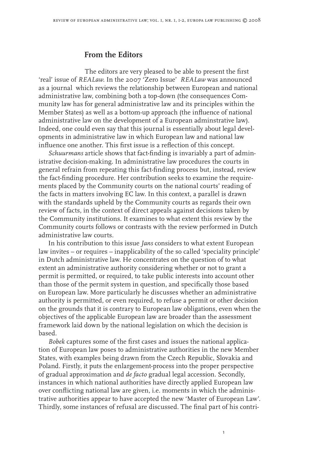## **From the Editors**

The editors are very pleased to be able to present the first 'real' issue of *REALaw*. In the 2007 'Zero Issue' *REALaw* was announced as a journal which reviews the relationship between European and national administrative law, combining both a top-down (the consequences Community law has for general administrative law and its principles within the Member States) as well as a bottom-up approach (the influence of national administrative law on the development of a European adminstrative law). Indeed, one could even say that this journal is essentially about legal developments in administrative law in which European law and national law influence one another. This first issue is a reflection of this concept.

*Schuurmans* article shows that fact-finding is invariably a part of administrative decision-making. In administrative law procedures the courts in general refrain from repeating this fact-finding process but, instead, review the fact-finding procedure. Her contribution seeks to examine the requirements placed by the Community courts on the national courts' reading of the facts in matters involving EC law. In this context, a parallel is drawn with the standards upheld by the Community courts as regards their own review of facts, in the context of direct appeals against decisions taken by the Community institutions. It examines to what extent this review by the Community courts follows or contrasts with the review performed in Dutch administrative law courts.

In his contribution to this issue *Jans* considers to what extent European law invites – or requires – inapplicability of the so called 'speciality principle' in Dutch administrative law. He concentrates on the question of to what extent an administrative authority considering whether or not to grant a permit is permitted, or required, to take public interests into account other than those of the permit system in question, and specifically those based on European law. More particularly he discusses whether an administrative authority is permitted, or even required, to refuse a permit or other decision on the grounds that it is contrary to European law obligations, even when the objectives of the applicable European law are broader than the assessment framework laid down by the national legislation on which the decision is based.

*Bobek* captures some of the first cases and issues the national application of European law poses to administrative authorities in the new Member States, with examples being drawn from the Czech Republic, Slovakia and Poland. Firstly, it puts the enlargement-process into the proper perspective of gradual approximation and *de facto* gradual legal accession. Secondly, instances in which national authorities have directly applied European law over conflicting national law are given, i.e. moments in which the administrative authorities appear to have accepted the new 'Master of European Law'. Thirdly, some instances of refusal are discussed. The final part of his contri-

 $\mathbf{I}$